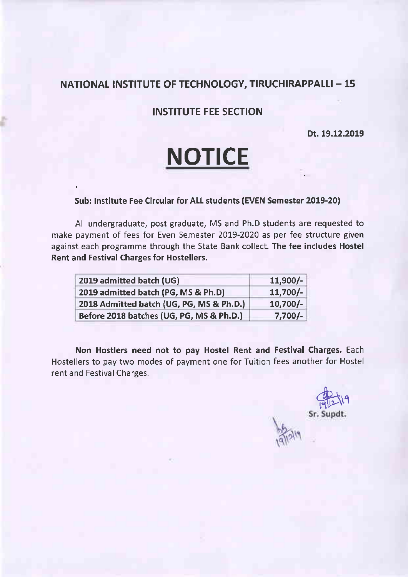### INSTITUTE FEE SECTION

Dt. 19.12.2019

# **NOTICE**

#### Sub: Institute Fee Circular for ALL students (EVEN Semester 2019-20)

All undergraduate, post graduate, MS and Ph.D students are requested to make payment of fees for Even Semester 2019-2020 as per fee structure given against each programme through the State Bank collect. The fee includes Hostel Rent and Festival Charges for Hostellers.

| 2019 admitted batch (UG)                 | $11,900/-$ |
|------------------------------------------|------------|
| 2019 admitted batch (PG, MS & Ph.D)      | $11,700/-$ |
| 2018 Admitted batch (UG, PG, MS & Ph.D.) | $10,700/-$ |
| Before 2018 batches (UG, PG, MS & Ph.D.) | $7,700/-$  |

Non Hostlers need not to pay Hostel Rent and Festival Charges. Each Hostellers to pay two modes of payment one for Tuition fees another for Hostel rent and Festival Charges.

Part19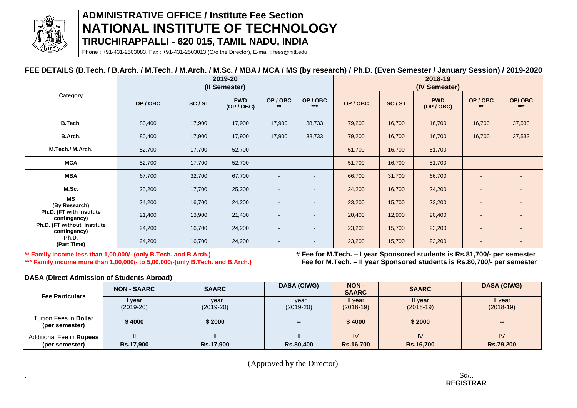

### **ADMINISTRATIVE OFFICE / Institute Fee Section NATIONAL INSTITUTE OF TECHNOLOGY TIRUCHIRAPPALLI - 620 015, TAMIL NADU, INDIA**

Phone : +91-431-2503083, Fax : +91-431-2503013 (O/o the Director), E-mail : fees@nitt.edu

#### **FEE DETAILS (B.Tech. / B.Arch. / M.Tech. / M.Arch. / M.Sc. / MBA / MCA / MS (by research) / Ph.D. (Even Semester / January Session) / 2019-2020**

|                                             |        |        | 2019-20<br>(II Semester) |                |                          | 2018-19<br>(IV Semester) |        |                          |                          |                          |
|---------------------------------------------|--------|--------|--------------------------|----------------|--------------------------|--------------------------|--------|--------------------------|--------------------------|--------------------------|
| Category                                    | OP/OBC | SC/ST  | <b>PWD</b><br>(OP / OBC) | OP/OBC<br>$**$ | OP/OBC<br>$***$          | OP/OBC                   | SC/ST  | <b>PWD</b><br>(OP / OBC) | OP/OBC<br>$**$           | OP/OBC<br>$***$          |
| B.Tech.                                     | 80,400 | 17,900 | 17,900                   | 17,900         | 38,733                   | 79,200                   | 16,700 | 16,700                   | 16,700                   | 37,533                   |
| B.Arch.                                     | 80,400 | 17,900 | 17,900                   | 17,900         | 38,733                   | 79,200                   | 16,700 | 16,700                   | 16,700                   | 37,533                   |
| M.Tech./ M.Arch.                            | 52,700 | 17,700 | 52,700                   | $\sim$         |                          | 51,700                   | 16,700 | 51,700                   |                          |                          |
| <b>MCA</b>                                  | 52,700 | 17,700 | 52,700                   | $\sim$         |                          | 51,700                   | 16,700 | 51,700                   |                          | $\sim$                   |
| <b>MBA</b>                                  | 67,700 | 32,700 | 67,700                   | $\sim$         | $\overline{\phantom{a}}$ | 66,700                   | 31,700 | 66,700                   |                          | $\sim$                   |
| M.Sc.                                       | 25,200 | 17,700 | 25,200                   | $\sim$         | $\blacksquare$           | 24,200                   | 16,700 | 24,200                   |                          | $\sim$                   |
| <b>MS</b><br>(By Research)                  | 24,200 | 16,700 | 24,200                   | $\sim$         | $\overline{\phantom{a}}$ | 23,200                   | 15,700 | 23,200                   | $\overline{\phantom{a}}$ | $\blacksquare$           |
| Ph.D. (FT with Institute<br>contingency)    | 21,400 | 13,900 | 21,400                   | $\sim$         |                          | 20,400                   | 12,900 | 20,400                   |                          |                          |
| Ph.D. (FT without Institute<br>contingency) | 24,200 | 16,700 | 24,200                   | $\sim$         | $\overline{\phantom{a}}$ | 23,200                   | 15,700 | 23,200                   |                          | $\overline{\phantom{a}}$ |
| Ph.D.<br>(Part Time)                        | 24,200 | 16,700 | 24,200                   | $\sim$         |                          | 23,200                   | 15,700 | 23,200                   |                          |                          |

**\*\* Family income less than 1,00,000/- (only B.Tech. and B.Arch.) # Fee for M.Tech. – I year Sponsored students is Rs.81,700/- per semester \*\*\* Family income more than 1,00,000/- to 5,00,000/-(only B.Tech. and B.Arch.) Fee for M.Tech. – II year Sponsored students is Rs.80,700/- per semester**

**DASA (Direct Admission of Students Abroad)**

| <b>Fee Particulars</b>                            | <b>NON - SAARC</b> | <b>SAARC</b>          | <b>DASA (CIWG)</b>    | <b>NON-</b><br><b>SAARC</b> | <b>SAARC</b>           | <b>DASA (CIWG)</b>     |
|---------------------------------------------------|--------------------|-----------------------|-----------------------|-----------------------------|------------------------|------------------------|
|                                                   | year<br>(2019-20)  | l year<br>$(2019-20)$ | l year<br>$(2019-20)$ | II year<br>$(2018-19)$      | Il year<br>$(2018-19)$ | Il year<br>$(2018-19)$ |
| Tuition Fees in <b>Dollar</b><br>(per semester)   | \$4000             | \$2000                | --                    | \$4000                      | \$2000                 | --                     |
| Additional Fee in <b>Rupees</b><br>(per semester) | <b>Rs.17,900</b>   | <b>Rs.17,900</b>      | <b>Rs.80,400</b>      | IV<br><b>Rs.16,700</b>      | IV<br><b>Rs.16,700</b> | <b>Rs.79,200</b>       |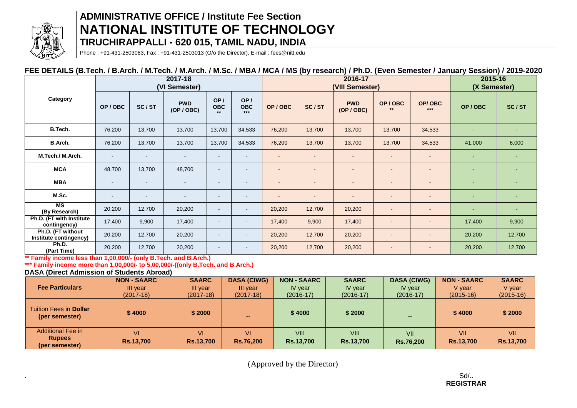

### **ADMINISTRATIVE OFFICE / Institute Fee Section NATIONAL INSTITUTE OF TECHNOLOGY TIRUCHIRAPPALLI - 620 015, TAMIL NADU, INDIA**

Phone : +91-431-2503083, Fax : +91-431-2503013 (O/o the Director), E-mail : fees@nitt.edu

#### **FEE DETAILS (B.Tech. / B.Arch. / M.Tech. / M.Arch. / M.Sc. / MBA / MCA / MS (by research) / Ph.D. (Even Semester / January Session) / 2019-2020**

|                                             | 2017-18<br>(VI Semester) |        |                          |                           |                            |                          | 2016-17<br>(VIII Semester) |                          |                          |                              | 2015-16<br>(X Semester) |                |
|---------------------------------------------|--------------------------|--------|--------------------------|---------------------------|----------------------------|--------------------------|----------------------------|--------------------------|--------------------------|------------------------------|-------------------------|----------------|
| Category                                    | OP/OBC                   | SC/ST  | <b>PWD</b><br>(OP / OBC) | OP/<br><b>OBC</b><br>$**$ | OP/<br><b>OBC</b><br>$***$ | OP/OBC                   | SC/ST                      | <b>PWD</b><br>(OP / OBC) | OP/OBC<br>$**$           | OP/OBC<br>$***$              | OP/OBC                  | SC/ST          |
| B.Tech.                                     | 76,200                   | 13,700 | 13,700                   | 13,700                    | 34,533                     | 76,200                   | 13,700                     | 13,700                   | 13,700                   | 34,533                       | $\sim$                  | $\blacksquare$ |
| B.Arch.                                     | 76,200                   | 13,700 | 13,700                   | 13,700                    | 34,533                     | 76,200                   | 13,700                     | 13,700                   | 13,700                   | 34,533                       | 41,000                  | 6,000          |
| M.Tech./ M.Arch.                            | $\sim$                   | $\sim$ |                          | $\sim$                    | $\sim$                     | $\sim$                   |                            | $\sim$                   |                          |                              | ۰                       | $\blacksquare$ |
| <b>MCA</b>                                  | 48,700                   | 13,700 | 48,700                   | $\sim$                    | $\sim$                     | ۰                        |                            | $\overline{\phantom{a}}$ | $\overline{\phantom{a}}$ |                              | ٠                       | $\blacksquare$ |
| <b>MBA</b>                                  | $\overline{\phantom{a}}$ | $\sim$ | $\overline{\phantom{a}}$ | $\sim$                    | $\sim$                     | $\overline{\phantom{a}}$ |                            | $\overline{\phantom{a}}$ | $\overline{\phantom{a}}$ |                              | $\sim$                  | $\blacksquare$ |
| M.Sc.                                       | $\overline{\phantom{a}}$ | $\sim$ | $\overline{\phantom{a}}$ | $\overline{\phantom{a}}$  | $\sim$                     | $\overline{\phantom{a}}$ |                            | $\overline{\phantom{a}}$ | $\overline{\phantom{a}}$ | $\qquad \qquad \blacksquare$ | $\sim$                  | $\blacksquare$ |
| <b>MS</b><br>(By Research)                  | 20,200                   | 12,700 | 20,200                   | $\sim$                    | $\blacksquare$             | 20,200                   | 12,700                     | 20,200                   | $\sim$                   |                              | $\sim$                  | $\blacksquare$ |
| Ph.D. (FT with Institute<br>contingency)    | 17,400                   | 9,900  | 17,400                   | $\blacksquare$            | $\blacksquare$             | 17,400                   | 9,900                      | 17,400                   | $\blacksquare$           | $\overline{\phantom{0}}$     | 17,400                  | 9,900          |
| Ph.D. (FT without<br>Institute contingency) | 20,200                   | 12,700 | 20,200                   | $\overline{\phantom{a}}$  | $\sim$                     | 20,200                   | 12,700                     | 20,200                   | $\overline{\phantom{a}}$ | $\overline{\phantom{0}}$     | 20,200                  | 12,700         |
| Ph.D.<br>(Part Time)                        | 20,200                   | 12,700 | 20,200                   | $\sim$                    | $\sim$                     | 20,200                   | 12,700                     | 20,200                   | $\blacksquare$           |                              | 20,200                  | 12,700         |

**\*\* Family income less than 1,00,000/- (only B.Tech. and B.Arch.)**

**\*\*\* Family income more than 1,00,000/- to 5,00,000/-((only B.Tech. and B.Arch.)**

**DASA (Direct Admission of Students Abroad)**

|                                                             | <b>NON - SAARC</b>     | <b>SAARC</b>                  | <b>DASA (CIWG)</b>     | <b>NON - SAARC</b>              | <b>SAARC</b>                    | <b>DASA (CIWG)</b>      | <b>NON - SAARC</b>      | <b>SAARC</b>            |
|-------------------------------------------------------------|------------------------|-------------------------------|------------------------|---------------------------------|---------------------------------|-------------------------|-------------------------|-------------------------|
| <b>Fee Particulars</b>                                      | III year               | III year                      | III year               | IV year                         | IV year                         | IV year                 | V vear                  | V year                  |
|                                                             | $(2017-18)$            | $(2017-18)$                   | $(2017-18)$            | $(2016-17)$                     | $(2016-17)$                     | $(2016-17)$             | $(2015-16)$             | $(2015-16)$             |
| Tuition Fees in <b>Dollar</b><br>(per semester)             | \$4000                 | \$2000                        | $\sim$                 | \$4000                          | \$2000                          | --                      | \$4000                  | \$2000                  |
| <b>Additional Fee in</b><br><b>Rupees</b><br>(per semester) | VI<br><b>Rs.13,700</b> | <b>VI</b><br><b>Rs.13,700</b> | VI<br><b>Rs.76,200</b> | <b>VIII</b><br><b>Rs.13,700</b> | <b>VIII</b><br><b>Rs.13,700</b> | VII<br><b>Rs.76,200</b> | VII<br><b>Rs.13,700</b> | VII<br><b>Rs.13,700</b> |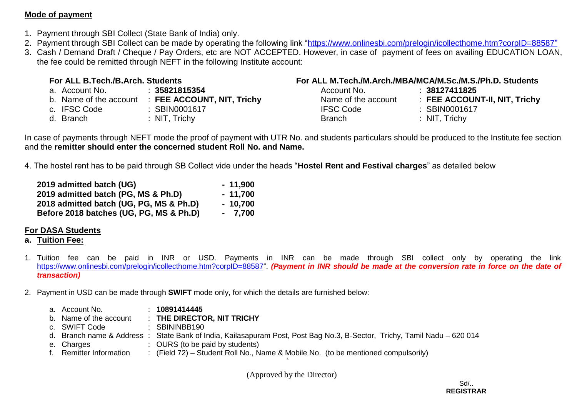### **Mode of payment**

- 1. Payment through SBI Collect (State Bank of India) only.
- 2. Payment through SBI Collect can be made by operating the following link ["https://www.onlinesbi.com/prelogin/icollecthome.htm?corpID=88587"](https://www.onlinesbi.com/prelogin/icollecthome.htm?corpID=88587)
- 3. Cash / Demand Draft / Cheque / Pay Orders, etc are NOT ACCEPTED. However, in case of payment of fees on availing EDUCATION LOAN, the fee could be remitted through NEFT in the following Institute account:

| For ALL B.Tech./B.Arch. Students |                                                   | For ALL M.Tech./M.Arch./MBA/MCA/M.Sc./M.S./Ph.D. Students |                               |  |  |  |  |
|----------------------------------|---------------------------------------------------|-----------------------------------------------------------|-------------------------------|--|--|--|--|
| a. Account No.                   | $\div$ 35821815354                                | Account No.                                               | : 38127411825                 |  |  |  |  |
|                                  | b. Name of the account : FEE ACCOUNT, NIT, Trichy | Name of the account                                       | : FEE ACCOUNT-II, NIT, Trichy |  |  |  |  |
| c. IFSC Code                     | : SBIN0001617                                     | <b>IFSC Code</b>                                          | : SBIN0001617                 |  |  |  |  |
| d. Branch                        | : $NIT$ , $Trichy$                                | <b>Branch</b>                                             | : NIT, Trichy                 |  |  |  |  |

In case of payments through NEFT mode the proof of payment with UTR No. and students particulars should be produced to the Institute fee section and the **remitter should enter the concerned student Roll No. and Name.**

4. The hostel rent has to be paid through SB Collect vide under the heads "**Hostel Rent and Festival charges**" as detailed below

| 2019 admitted batch (UG)                | $-11,900$ |
|-----------------------------------------|-----------|
| 2019 admitted batch (PG, MS & Ph.D)     | $-11,700$ |
| 2018 admitted batch (UG, PG, MS & Ph.D) | $-10,700$ |
| Before 2018 batches (UG, PG, MS & Ph.D) | $-7,700$  |

### **For DASA Students**

### **a. Tuition Fee:**

- 1. Tuition fee can be paid in INR or USD. Payments in INR can be made through SBI collect only by operating the link [https://www.onlinesbi.com/prelogin/icollecthome.htm?corpID=88587"](https://www.onlinesbi.com/prelogin/icollecthome.htm?corpID=88587) (Payment in INR should be made at the conversion rate in force on the date of *transaction)*
- 2. Payment in USD can be made through **SWIFT** mode only, for which the details are furnished below:

| a. Account No.          | 10891414445                                                                                                             |
|-------------------------|-------------------------------------------------------------------------------------------------------------------------|
| b. Name of the account  | $\pm$ THE DIRECTOR, NIT TRICHY                                                                                          |
| c. SWIFT Code           | : SBININBB190                                                                                                           |
|                         | d. Branch name & Address: State Bank of India, Kailasapuram Post, Post Bag No.3, B-Sector, Trichy, Tamil Nadu – 620 014 |
| e. Charges              | : OURS (to be paid by students)                                                                                         |
| f. Remitter Information | : (Field 72) – Student Roll No., Name & Mobile No. (to be mentioned compulsorily)                                       |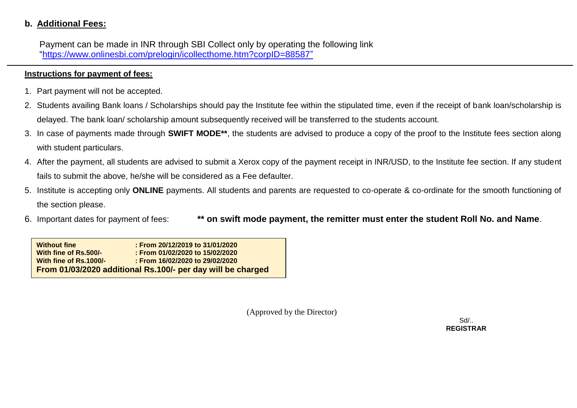### **b. Additional Fees:**

 Payment can be made in INR through SBI Collect only by operating the following link ["https://www.onlinesbi.com/prelogin/icollecthome.htm?corpID=88587"](https://www.onlinesbi.com/prelogin/icollecthome.htm?corpID=88587)

### **Instructions for payment of fees:**

- 1. Part payment will not be accepted.
- 2. Students availing Bank loans / Scholarships should pay the Institute fee within the stipulated time, even if the receipt of bank loan/scholarship is delayed. The bank loan/ scholarship amount subsequently received will be transferred to the students account.
- 3. In case of payments made through **SWIFT MODE\*\***, the students are advised to produce a copy of the proof to the Institute fees section along with student particulars.
- 4. After the payment, all students are advised to submit a Xerox copy of the payment receipt in INR/USD, to the Institute fee section. If any student fails to submit the above, he/she will be considered as a Fee defaulter.
- 5. Institute is accepting only **ONLINE** payments. All students and parents are requested to co-operate & co-ordinate for the smooth functioning of the section please.
- 6. Important dates for payment of fees: **\*\* on swift mode payment, the remitter must enter the student Roll No. and Name**.

**Without fine : From 20/12/2019 to 31/01/2020 With fine of Rs.500/- : From 01/02/2020 to 15/02/2020 With fine of Rs.1000/- : From 16/02/2020 to 29/02/2020 From 01/03/2020 additional Rs.100/- per day will be charged** 

(Approved by the Director)

 Sd/.. **REGISTRAR**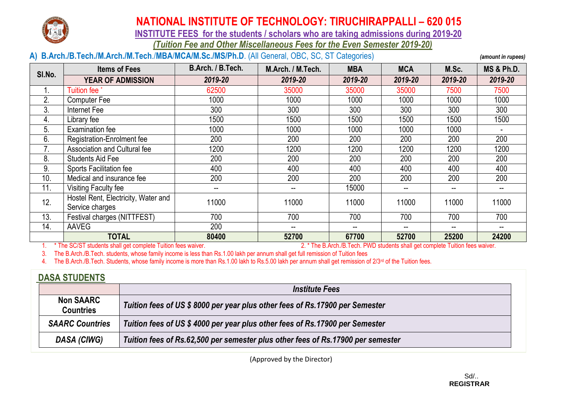

 **INSTITUTE FEES for the students / scholars who are taking admissions during 2019-20**

*(Tuition Fee and Other Miscellaneous Fees for the Even Semester 2019-20)*

### **A) B.Arch./B.Tech./M.Arch./M.Tech**./**MBA**/**MCA/M.Sc./MS/Ph.D**. (All General, OBC, SC, ST Categories) *(amount in rupees)*

| SI.No.           | <b>Items of Fees</b>                | B.Arch. / B.Tech. | M.Arch. / M.Tech. | <b>MBA</b> | <b>MCA</b> | M.Sc.   | <b>MS &amp; Ph.D.</b> |
|------------------|-------------------------------------|-------------------|-------------------|------------|------------|---------|-----------------------|
|                  | <b>YEAR OF ADMISSION</b>            | 2019-20           | 2019-20           | 2019-20    | 2019-20    | 2019-20 | 2019-20               |
| ι.               | Tuition fee                         | 62500             | 35000             | 35000      | 35000      | 7500    | 7500                  |
| 2.               | <b>Computer Fee</b>                 | 1000              | 1000              | 1000       | 1000       | 1000    | 1000                  |
| 3.               | Internet Fee                        | 300               | 300               | 300        | 300        | 300     | 300                   |
| $\overline{4}$ . | Library fee                         | 1500              | 1500              | 1500       | 1500       | 1500    | 1500                  |
| 5.               | <b>Examination fee</b>              | 1000              | 1000              | 1000       | 1000       | 1000    |                       |
| 6.               | Registration-Enrolment fee          | 200               | 200               | 200        | 200        | 200     | 200                   |
| 7.               | Association and Cultural fee        | 1200              | 1200              | 1200       | 1200       | 1200    | 1200                  |
| 8.               | Students Aid Fee                    | 200               | 200               | 200        | 200        | 200     | 200                   |
| 9.               | <b>Sports Facilitation fee</b>      | 400               | 400               | 400        | 400        | 400     | 400                   |
| 10.              | Medical and insurance fee           | 200               | 200               | 200        | 200        | 200     | 200                   |
| 11.              | Visiting Faculty fee                | --                | --                | 15000      | $-$        |         |                       |
| 12.              | Hostel Rent, Electricity, Water and | 11000             | 11000             | 11000      | 11000      | 11000   | 11000                 |
|                  | Service charges                     |                   |                   |            |            |         |                       |
| 13.              | Festival charges (NITTFEST)         | 700               | 700               | 700        | 700        | 700     | 700                   |
| 14.              | AAVEG                               | 200               | --                | --         | $-$        |         |                       |
|                  | <b>TOTAL</b>                        | 80400             | 52700             | 67700      | 52700      | 25200   | 24200                 |

1. \* The SC/ST students shall get complete Tuition fees waiver. 2. \* The B.Arch./B.Tech. PWD students shall get complete Tuition fees waiver.

3. The B.Arch./B.Tech. students, whose family income is less than Rs.1.00 lakh per annum shall get full remission of Tuition fees

4. The B.Arch./B.Tech. Students, whose family income is more than Rs.1.00 lakh to Rs.5.00 lakh per annum shall get remission of 2/3<sup>rd</sup> of the Tuition fees.

## **DASA STUDENTS** *Institute Fees*  **Non SAARC Countries** *Tuition fees of US \$ 8000 per year plus other fees of Rs.17900 per Semester SAARC Countries Tuition fees of US \$ 4000 per year plus other fees of Rs.17900 per Semester DASA (CIWG) Tuition fees of Rs.62,500 per semester plus other fees of Rs.17900 per semester*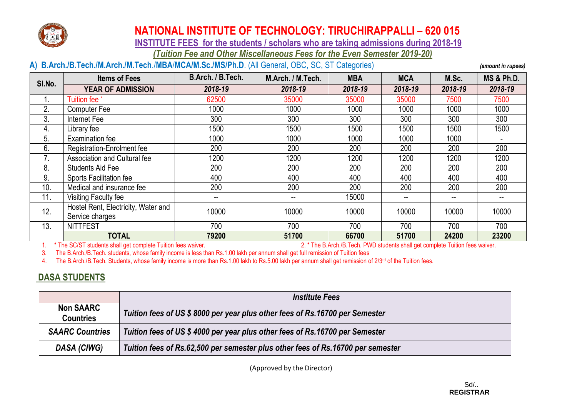

 **INSTITUTE FEES for the students / scholars who are taking admissions during 2018-19**

*(Tuition Fee and Other Miscellaneous Fees for the Even Semester 2019-20)*

### **A) B.Arch./B.Tech./M.Arch./M.Tech**./**MBA**/**MCA/M.Sc./MS/Ph.D**. (All General, OBC, SC, ST Categories) *(amount in rupees)*

| SI.No. | <b>Items of Fees</b>                                   | B.Arch. / B.Tech.                     | M.Arch. / M.Tech. | <b>MBA</b> | <b>MCA</b>               | M.Sc.                    | <b>MS &amp; Ph.D.</b> |
|--------|--------------------------------------------------------|---------------------------------------|-------------------|------------|--------------------------|--------------------------|-----------------------|
|        | <b>YEAR OF ADMISSION</b>                               | 2018-19                               | 2018-19           | 2018-19    | 2018-19                  | 2018-19                  | 2018-19               |
|        | <b>Tuition fee</b>                                     | 62500                                 | 35000             | 35000      | 35000                    | 7500                     | 7500                  |
| 2.     | <b>Computer Fee</b>                                    | 1000                                  | 1000              | 1000       | 1000                     | 1000                     | 1000                  |
| 3.     | Internet Fee                                           | 300                                   | 300               | 300        | 300                      | 300                      | 300                   |
| 4.     | Library fee                                            | 1500                                  | 1500              | 1500       | 1500                     | 1500                     | 1500                  |
| 5.     | <b>Examination fee</b>                                 | 1000                                  | 1000              | 1000       | 1000                     | 1000                     |                       |
| 6.     | Registration-Enrolment fee                             | 200                                   | 200               | 200        | 200                      | 200                      | 200                   |
|        | Association and Cultural fee                           | 1200                                  | 1200              | 1200       | 1200                     | 1200                     | 1200                  |
| 8.     | Students Aid Fee                                       | 200                                   | 200               | 200        | 200                      | 200                      | 200                   |
| 9.     | <b>Sports Facilitation fee</b>                         | 400                                   | 400               | 400        | 400                      | 400                      | 400                   |
| 10.    | Medical and insurance fee                              | 200                                   | 200               | 200        | 200                      | 200                      | 200                   |
| 11.    | Visiting Faculty fee                                   | $\hspace{0.05cm}$ – $\hspace{0.05cm}$ | --                | 15000      | $\overline{\phantom{m}}$ | $\overline{\phantom{m}}$ |                       |
| 12.    | Hostel Rent, Electricity, Water and<br>Service charges | 10000                                 | 10000             | 10000      | 10000                    | 10000                    | 10000                 |
| 13.    | <b>NITTFEST</b>                                        | 700                                   | 700               | 700        | 700                      | 700                      | 700                   |
|        | <b>TOTAL</b>                                           | 79200                                 | 51700             | 66700      | 51700                    | 24200                    | 23200                 |

1. \* The SC/ST students shall get complete Tuition fees waiver. 2. \* The B.Arch./B.Tech. PWD students shall get complete Tuition fees waiver.

3. The B.Arch./B.Tech. students, whose family income is less than Rs.1.00 lakh per annum shall get full remission of Tuition fees<br>4 The B.Arch./B.Tech. Students, whose family income is more than Rs.1.00 lakh to Rs.5.00 lak The B.Arch./B.Tech. Students, whose family income is more than Rs.1.00 lakh to Rs.5.00 lakh per annum shall get remission of  $2/3$ <sup>rd</sup> of the Tuition fees.

### **DASA STUDENTS**

|                                      | <b>Institute Fees</b>                                                           |
|--------------------------------------|---------------------------------------------------------------------------------|
| <b>Non SAARC</b><br><b>Countries</b> | Tuition fees of US \$8000 per year plus other fees of Rs.16700 per Semester     |
| <b>SAARC Countries</b>               | Tuition fees of US \$4000 per year plus other fees of Rs.16700 per Semester     |
| DASA (CIWG)                          | Tuition fees of Rs.62,500 per semester plus other fees of Rs.16700 per semester |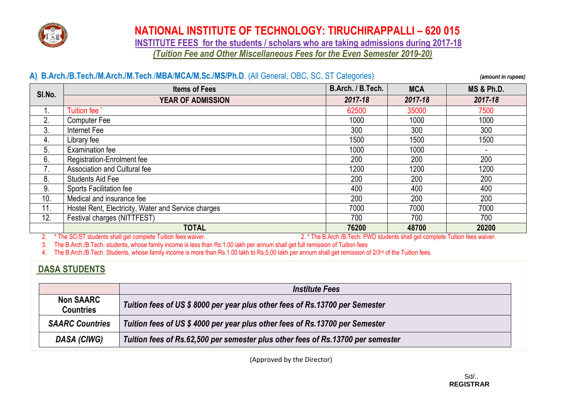

 **INSTITUTE FEES for the students / scholars who are taking admissions during 2017-18** *(Tuition Fee and Other Miscellaneous Fees for the Even Semester 2019-20)*

|        | A) B.Arch./B.Tech./M.Arch./M.Tech./MBA/MCA/M.Sc./MS/Ph.D. (All General, OBC, SC, ST Categories) |                   |            | (amount in rupees)    |
|--------|-------------------------------------------------------------------------------------------------|-------------------|------------|-----------------------|
| SI.No. | <b>Items of Fees</b>                                                                            | B.Arch. / B.Tech. | <b>MCA</b> | <b>MS &amp; Ph.D.</b> |
|        | <b>YEAR OF ADMISSION</b>                                                                        | 2017-18           | 2017-18    | 2017-18               |
| 1.     | Tuition fee <sup>*</sup>                                                                        | 62500             | 35000      | 7500                  |
| 2.     | <b>Computer Fee</b>                                                                             | 1000              | 1000       | 1000                  |
| 3.     | Internet Fee                                                                                    | 300               | 300        | 300                   |
| 4.     | Library fee                                                                                     | 1500              | 1500       | 1500                  |
| 5.     | Examination fee                                                                                 | 1000              | 1000       |                       |
| 6.     | <b>Registration-Enrolment fee</b>                                                               | 200               | 200        | 200                   |
| 7.     | Association and Cultural fee                                                                    | 1200              | 1200       | 1200                  |
| 8.     | Students Aid Fee                                                                                | 200               | 200        | 200                   |
| 9.     | <b>Sports Facilitation fee</b>                                                                  | 400               | 400        | 400                   |
| 10.    | Medical and insurance fee                                                                       | 200               | 200        | 200                   |
| 11.    | Hostel Rent, Electricity, Water and Service charges                                             | 7000              | 7000       | 7000                  |
| 12.    | Festival charges (NITTFEST)                                                                     | 700               | 700        | 700                   |
|        | <b>TOTAL</b>                                                                                    | 76200             | 48700      | 20200                 |

2. \* The SC/ST students shall get complete Tuition fees waiver. 2. \* The B.Arch./B.Tech. PWD students shall get complete Tuition fees waiver.

3. The B.Arch./B.Tech. students, whose family income is less than Rs.1.00 lakh per annum shall get full remission of Tuition fees

4. The B.Arch./B.Tech. Students, whose family income is more than Rs.1.00 lakh to Rs.5.00 lakh per annum shall get remission of 2/3<sup>rd</sup> of the Tuition fees.

### **DASA STUDENTS**

|                                      | <b>Institute Fees</b>                                                           |
|--------------------------------------|---------------------------------------------------------------------------------|
| <b>Non SAARC</b><br><b>Countries</b> | Tuition fees of US \$8000 per year plus other fees of Rs.13700 per Semester     |
| <b>SAARC Countries</b>               | Tuition fees of US \$4000 per year plus other fees of Rs.13700 per Semester     |
| DASA (CIWG)                          | Tuition fees of Rs.62,500 per semester plus other fees of Rs.13700 per semester |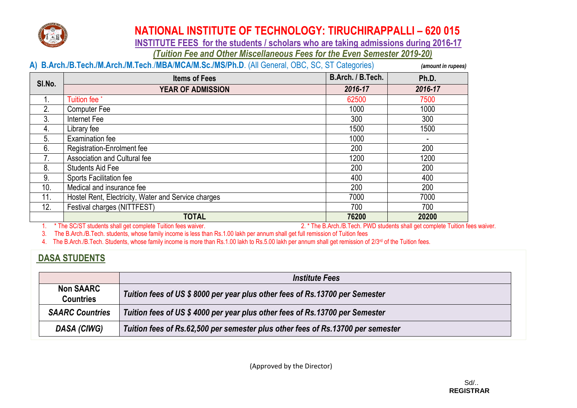

 **INSTITUTE FEES for the students / scholars who are taking admissions during 2016-17**

*(Tuition Fee and Other Miscellaneous Fees for the Even Semester 2019-20)*

|        | A) B.Arch./B.Tech./M.Arch./M.Tech./MBA/MCA/M.Sc./MS/Ph.D. (All General, OBC, SC, ST Categories)<br>(amount in rupees) |                   |         |  |  |
|--------|-----------------------------------------------------------------------------------------------------------------------|-------------------|---------|--|--|
| SI.No. | <b>Items of Fees</b>                                                                                                  | B.Arch. / B.Tech. | Ph.D.   |  |  |
|        | <b>YEAR OF ADMISSION</b>                                                                                              | 2016-17           | 2016-17 |  |  |
|        | Tuition fee <sup>*</sup>                                                                                              | 62500             | 7500    |  |  |
| 2.     | <b>Computer Fee</b>                                                                                                   | 1000              | 1000    |  |  |
| 3.     | Internet Fee                                                                                                          | 300               | 300     |  |  |
| 4.     | Library fee                                                                                                           | 1500              | 1500    |  |  |
| 5.     | <b>Examination fee</b>                                                                                                | 1000              |         |  |  |
| 6.     | Registration-Enrolment fee                                                                                            | 200               | 200     |  |  |
|        | Association and Cultural fee                                                                                          | 1200              | 1200    |  |  |
| 8.     | <b>Students Aid Fee</b>                                                                                               | 200               | 200     |  |  |
| 9.     | <b>Sports Facilitation fee</b>                                                                                        | 400               | 400     |  |  |
| 10.    | Medical and insurance fee                                                                                             | 200               | 200     |  |  |
| 11.    | Hostel Rent, Electricity, Water and Service charges                                                                   | 7000              | 7000    |  |  |
| 12.    | Festival charges (NITTFEST)                                                                                           | 700               | 700     |  |  |
|        | <b>TOTAL</b>                                                                                                          | 76200             | 20200   |  |  |

1. \* The SC/ST students shall get complete Tuition fees waiver. 2. \* The B.Arch./B.Tech. PWD students shall get complete Tuition fees waiver.

3. The B.Arch./B.Tech. students, whose family income is less than Rs.1.00 lakh per annum shall get full remission of Tuition fees

4. The B.Arch./B.Tech. Students, whose family income is more than Rs.1.00 lakh to Rs.5.00 lakh per annum shall get remission of 2/3<sup>rd</sup> of the Tuition fees.

### **DASA STUDENTS**

|                                      | <b>Institute Fees</b>                                                           |
|--------------------------------------|---------------------------------------------------------------------------------|
| <b>Non SAARC</b><br><b>Countries</b> | Tuition fees of US \$8000 per year plus other fees of Rs.13700 per Semester     |
| <b>SAARC Countries</b>               | Tuition fees of US \$4000 per year plus other fees of Rs.13700 per Semester     |
| DASA (CIWG)                          | Tuition fees of Rs.62,500 per semester plus other fees of Rs.13700 per semester |